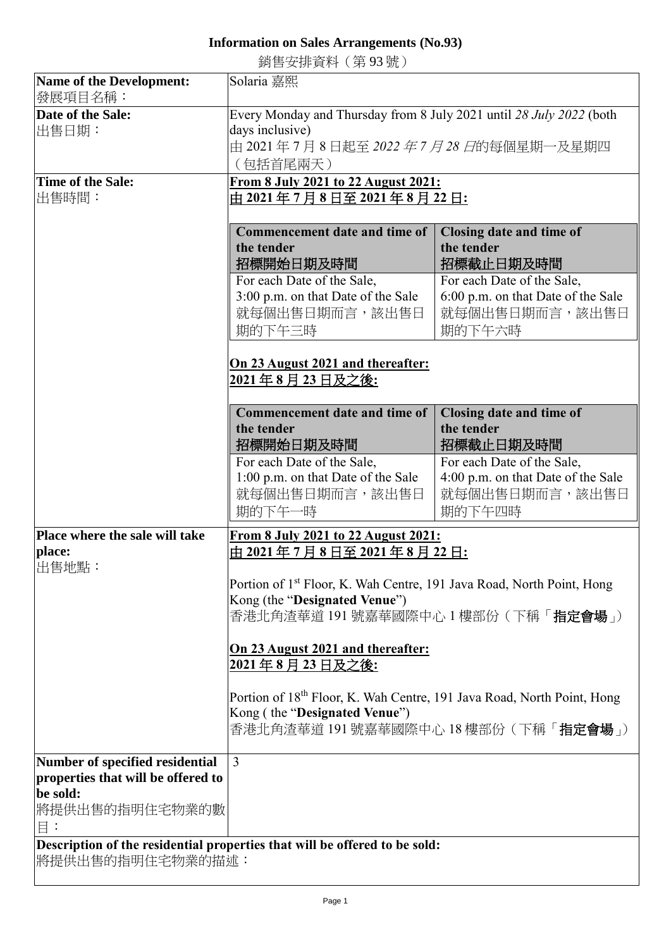## **Information on Sales Arrangements (No.93)**

銷售安排資料(第 93 號)

| <b>Name of the Development:</b>                                                                 | Solaria 嘉熙                                                                                                                                                             |                                                                                              |  |  |
|-------------------------------------------------------------------------------------------------|------------------------------------------------------------------------------------------------------------------------------------------------------------------------|----------------------------------------------------------------------------------------------|--|--|
| 發展項目名稱:                                                                                         |                                                                                                                                                                        |                                                                                              |  |  |
| Date of the Sale:<br>出售日期:                                                                      | Every Monday and Thursday from 8 July 2021 until 28 July 2022 (both<br>days inclusive)<br>由 2021 年 7 月 8 日起至 <i>2022 年 7 月 28 日</i> 的每個星期一及星期四<br>(包括首尾兩天)             |                                                                                              |  |  |
| Time of the Sale:<br>出售時間:                                                                      | From 8 July 2021 to 22 August 2021:<br><u>由 2021 年 7 月 8 日至 2021 年 8 月 22 日:</u>                                                                                       |                                                                                              |  |  |
|                                                                                                 | <b>Commencement date and time of</b><br>the tender<br>招標開始日期及時間                                                                                                        | Closing date and time of<br>the tender<br>招標截止日期及時間                                          |  |  |
|                                                                                                 | For each Date of the Sale,<br>3:00 p.m. on that Date of the Sale<br>就每個出售日期而言,該出售日<br>期的下午三時                                                                           | For each Date of the Sale,<br>6:00 p.m. on that Date of the Sale<br>就每個出售日期而言,該出售日<br>期的下午六時 |  |  |
|                                                                                                 | On 23 August 2021 and thereafter:<br><u> 2021年8月23日及之後:</u>                                                                                                            |                                                                                              |  |  |
|                                                                                                 | <b>Commencement date and time of</b><br>the tender<br>招標開始日期及時間                                                                                                        | Closing date and time of<br>the tender<br>招標截止日期及時間                                          |  |  |
|                                                                                                 | For each Date of the Sale,<br>1:00 p.m. on that Date of the Sale<br>就每個出售日期而言,該出售日<br>期的下午一時                                                                           | For each Date of the Sale,<br>4:00 p.m. on that Date of the Sale<br>就每個出售日期而言,該出售日<br>期的下午四時 |  |  |
| Place where the sale will take                                                                  | From 8 July 2021 to 22 August 2021:                                                                                                                                    |                                                                                              |  |  |
| place:<br>出售地點:                                                                                 | 由 2021 <u>年 7 月 8 日至 2021 年 8 月 22 日:</u>                                                                                                                              |                                                                                              |  |  |
|                                                                                                 | Portion of 1 <sup>st</sup> Floor, K. Wah Centre, 191 Java Road, North Point, Hong                                                                                      |                                                                                              |  |  |
|                                                                                                 | Kong (the "Designated Venue")<br>香港北角渣華道 191 號嘉華國際中心 1 樓部份 ( 下稱「 <b>指定會場</b> 」)                                                                                        |                                                                                              |  |  |
|                                                                                                 |                                                                                                                                                                        |                                                                                              |  |  |
|                                                                                                 | On 23 August 2021 and thereafter:<br>2021 年 8 月 23 日及之後:                                                                                                               |                                                                                              |  |  |
|                                                                                                 | Portion of 18 <sup>th</sup> Floor, K. Wah Centre, 191 Java Road, North Point, Hong<br>Kong (the "Designated Venue")<br>香港北角渣華道 191 號嘉華國際中心 18 樓部份 ( 下稱「 <b>指定會場</b> 」) |                                                                                              |  |  |
| Number of specified residential                                                                 | $\overline{3}$                                                                                                                                                         |                                                                                              |  |  |
| properties that will be offered to<br>be sold:<br>將提供出售的指明住宅物業的數<br>$\Xi$ :                     |                                                                                                                                                                        |                                                                                              |  |  |
| Description of the residential properties that will be offered to be sold:<br> 將提供出售的指明住宅物業的描述: |                                                                                                                                                                        |                                                                                              |  |  |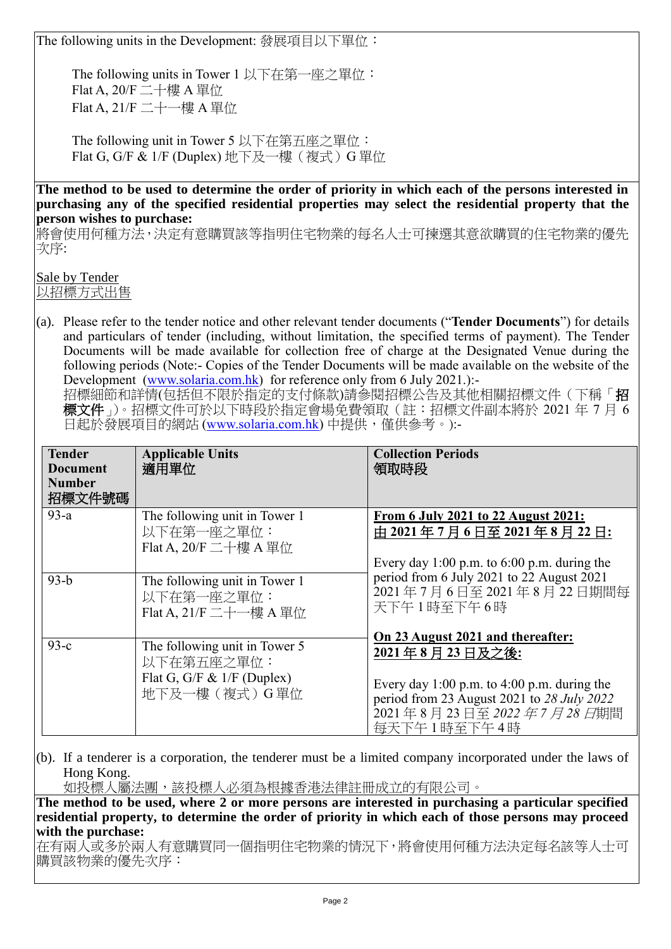The following units in the Development: 發展項目以下單位:

The following units in Tower 1 以下在第一座之單位: Flat A, 20/F 二十樓 A 單位 Flat A, 21/F 二十一樓 A 單位

The following unit in Tower 5 以下在第五座之單位: Flat G, G/F & 1/F (Duplex) 地下及一樓 (複式) G 單位

**The method to be used to determine the order of priority in which each of the persons interested in purchasing any of the specified residential properties may select the residential property that the person wishes to purchase:**

將會使用何種方法,決定有意購買該等指明住宅物業的每名人士可揀選其意欲購買的住宅物業的優先 次序:

Sale by Tender 以招標方式出售

(a). Please refer to the tender notice and other relevant tender documents ("**Tender Documents**") for details and particulars of tender (including, without limitation, the specified terms of payment). The Tender Documents will be made available for collection free of charge at the Designated Venue during the following periods (Note:- Copies of the Tender Documents will be made available on the website of the Development [\(www.solaria.com.hk\)](http://www.solaria.com.hk/) for reference only from 6 July 2021.):-

招標細節和詳情(包括但不限於指定的支付條款)請參閱招標公告及其他相關招標文件(下稱「招 標文件」)。招標文件可於以下時段於指定會場免費領取(註:招標文件副本將於 2021 年 7 月 6 日起於發展項目的網站 [\(www.solaria.com.hk\)](http://www.solaria.com.hk/) 中提供,僅供參考。):-

| <b>Tender</b><br><b>Document</b><br><b>Number</b><br>招標文件號碼 | <b>Applicable Units</b><br>適用單位                                                             | <b>Collection Periods</b><br>領取時段                                                                                                                     |
|-------------------------------------------------------------|---------------------------------------------------------------------------------------------|-------------------------------------------------------------------------------------------------------------------------------------------------------|
| $93-a$                                                      | The following unit in Tower 1<br>以下在第一座之單位:<br>Flat A, $20/F = +$ 樓 A 單位                    | From 6 July 2021 to 22 August 2021:<br>由 2021年7月6日至 2021年8月 22日:<br>Every day 1:00 p.m. to $6:00$ p.m. during the                                     |
| $93-b$                                                      | The following unit in Tower 1<br>以下在第一座之單位:<br>Flat A, 21/F 二十一樓 A 單位                       | period from 6 July 2021 to 22 August 2021<br>2021年7月6日至2021年8月22日期間每<br>天下午1時至下午6時<br>On 23 August 2021 and thereafter:                               |
| $93-c$                                                      | The following unit in Tower 5<br>以下在第五座之單位:<br>Flat G, G/F & $1/F$ (Duplex)<br>地下及一樓(複式)G單位 | 2021年8月23日及之後:<br>Every day 1:00 p.m. to 4:00 p.m. during the<br>period from 23 August 2021 to 28 July 2022<br>2021年8月23日至2022年7月28日期間<br>每天下午1時至下午4時 |

(b). If a tenderer is a corporation, the tenderer must be a limited company incorporated under the laws of Hong Kong.

如投標人屬法團,該投標人必須為根據香港法律註冊成立的有限公司。

**The method to be used, where 2 or more persons are interested in purchasing a particular specified residential property, to determine the order of priority in which each of those persons may proceed with the purchase:**

在有兩人或多於兩人有意購買同一個指明住宅物業的情況下,將會使用何種方法決定每名該等人士可 購買該物業的優先次序: